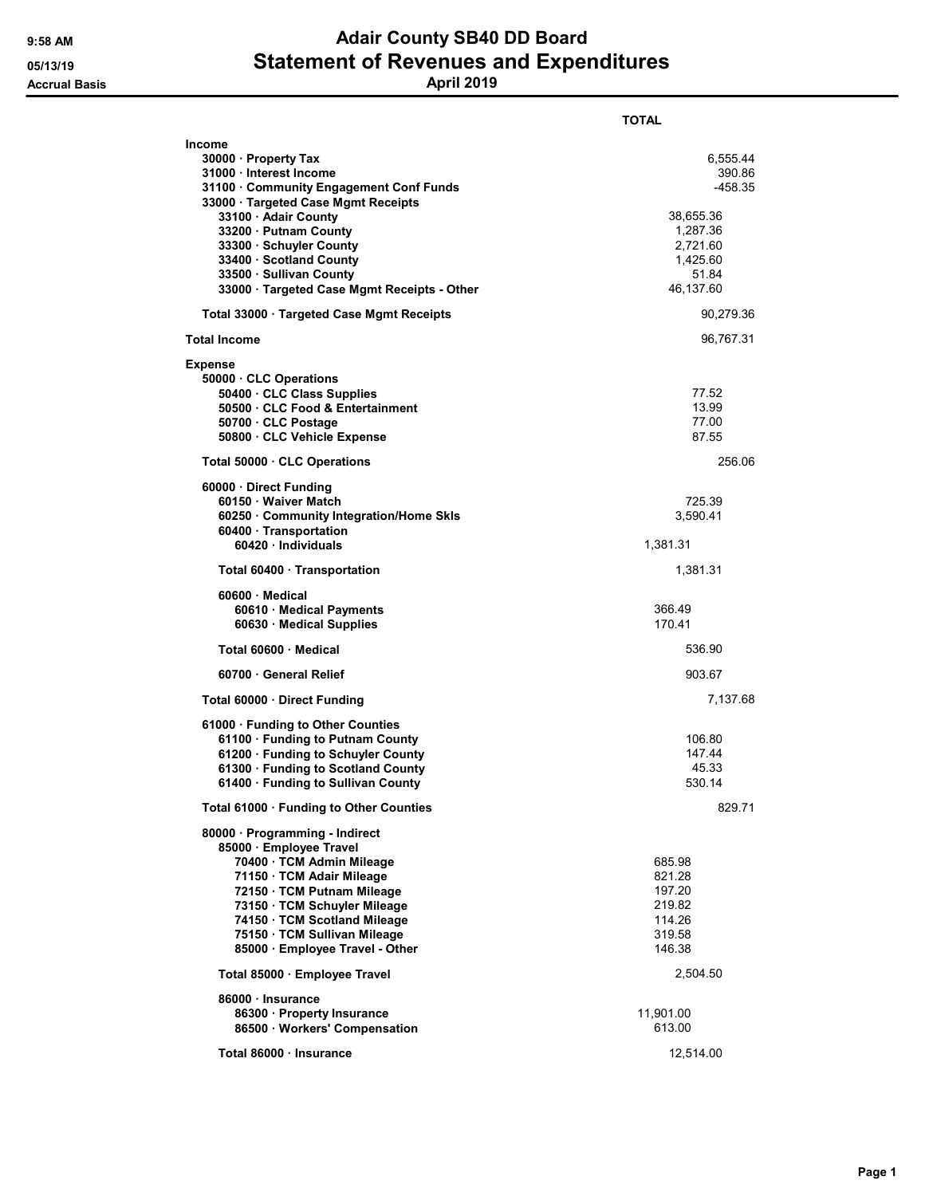## 9:58 AM **Adair County SB40 DD Board** 05/13/19 **Statement of Revenues and Expenditures** Accrual Basis April 2019

|                                                                   | <b>TOTAL</b>     |
|-------------------------------------------------------------------|------------------|
| Income                                                            |                  |
| 30000 Property Tax                                                | 6,555.44         |
| 31000 Interest Income                                             | 390.86           |
| 31100 · Community Engagement Conf Funds                           | -458.35          |
| 33000 · Targeted Case Mgmt Receipts<br>33100 · Adair County       | 38,655.36        |
| 33200 · Putnam County                                             | 1,287.36         |
| 33300 · Schuyler County                                           | 2,721.60         |
| 33400 Scotland County                                             | 1,425.60         |
| 33500 · Sullivan County                                           | 51.84            |
| 33000 · Targeted Case Mgmt Receipts - Other                       | 46,137.60        |
| Total 33000 Targeted Case Mgmt Receipts                           | 90,279.36        |
| Total Income                                                      | 96,767.31        |
| <b>Expense</b>                                                    |                  |
| 50000 CLC Operations                                              |                  |
| 50400 · CLC Class Supplies                                        | 77.52            |
| 50500 CLC Food & Entertainment                                    | 13.99            |
| 50700 CLC Postage                                                 | 77.00            |
| 50800 CLC Vehicle Expense                                         | 87.55            |
| Total 50000 CLC Operations                                        | 256.06           |
| 60000 Direct Funding                                              |                  |
| 60150 Waiver Match                                                | 725.39           |
| 60250 · Community Integration/Home Skls<br>60400 · Transportation | 3,590.41         |
| 60420 · Individuals                                               | 1,381.31         |
| Total 60400 Transportation                                        | 1,381.31         |
| 60600 Medical                                                     |                  |
| 60610 · Medical Payments                                          | 366.49           |
| 60630 Medical Supplies                                            | 170.41           |
| Total 60600 · Medical                                             | 536.90           |
| 60700 General Relief                                              | 903.67           |
| Total 60000 Direct Funding                                        | 7,137.68         |
| 61000 · Funding to Other Counties                                 |                  |
| 61100 · Funding to Putnam County                                  | 106.80           |
| 61200 · Funding to Schuyler County                                | 147.44           |
| 61300 · Funding to Scotland County                                | 45.33            |
| 61400 Funding to Sullivan County                                  | 530.14           |
| Total 61000 · Funding to Other Counties                           | 829.71           |
| 80000 · Programming - Indirect                                    |                  |
| 85000 · Employee Travel                                           |                  |
| 70400 · TCM Admin Mileage                                         | 685.98           |
| 71150 · TCM Adair Mileage                                         | 821.28           |
| 72150 · TCM Putnam Mileage                                        | 197.20           |
| 73150 · TCM Schuyler Mileage<br>74150 · TCM Scotland Mileage      | 219.82<br>114.26 |
| 75150 · TCM Sullivan Mileage                                      | 319.58           |
| 85000 · Employee Travel - Other                                   | 146.38           |
| Total 85000 · Employee Travel                                     | 2,504.50         |
|                                                                   |                  |
| 86000 · Insurance<br>86300 · Property Insurance                   | 11,901.00        |
| 86500 · Workers' Compensation                                     | 613.00           |
|                                                                   |                  |
| Total 86000 · Insurance                                           | 12,514.00        |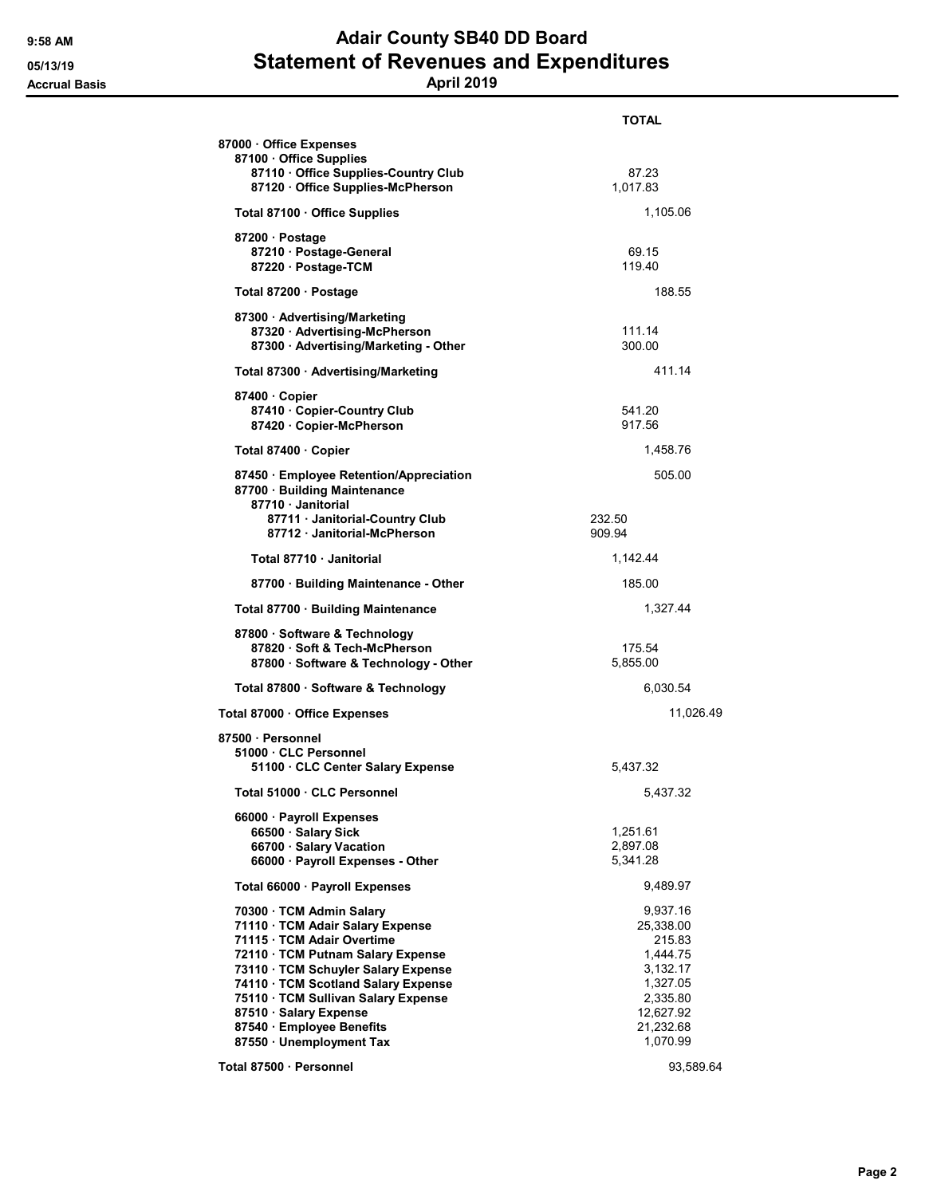## 9:58 AM **Adair County SB40 DD Board** 05/13/19 **Statement of Revenues and Expenditures** Accrual Basis April 2019

|                                                                                                                                                                                                                                                                                                                                       | <b>TOTAL</b>                                                                                                          |
|---------------------------------------------------------------------------------------------------------------------------------------------------------------------------------------------------------------------------------------------------------------------------------------------------------------------------------------|-----------------------------------------------------------------------------------------------------------------------|
| 87000 Office Expenses<br>87100 · Office Supplies<br>87110 Office Supplies-Country Club<br>87120 Office Supplies-McPherson                                                                                                                                                                                                             | 87.23<br>1,017.83                                                                                                     |
|                                                                                                                                                                                                                                                                                                                                       | 1,105.06                                                                                                              |
| Total 87100 · Office Supplies                                                                                                                                                                                                                                                                                                         |                                                                                                                       |
| 87200 · Postage<br>87210 · Postage-General<br>87220 · Postage-TCM                                                                                                                                                                                                                                                                     | 69.15<br>119.40                                                                                                       |
| Total 87200 · Postage                                                                                                                                                                                                                                                                                                                 | 188.55                                                                                                                |
| 87300 · Advertising/Marketing<br>87320 · Advertising-McPherson<br>87300 · Advertising/Marketing - Other                                                                                                                                                                                                                               | 111.14<br>300.00                                                                                                      |
| Total 87300 · Advertising/Marketing                                                                                                                                                                                                                                                                                                   | 411.14                                                                                                                |
| 87400 Copier<br>87410 · Copier-Country Club<br>87420 · Copier-McPherson                                                                                                                                                                                                                                                               | 541.20<br>917.56                                                                                                      |
| Total 87400 · Copier                                                                                                                                                                                                                                                                                                                  | 1,458.76                                                                                                              |
| 87450 · Employee Retention/Appreciation<br>87700 · Building Maintenance<br>87710 · Janitorial<br>87711 · Janitorial-Country Club<br>87712 Janitorial-McPherson                                                                                                                                                                        | 505.00<br>232.50<br>909.94                                                                                            |
| Total 87710 Janitorial                                                                                                                                                                                                                                                                                                                | 1,142.44                                                                                                              |
| 87700 Building Maintenance - Other                                                                                                                                                                                                                                                                                                    | 185.00                                                                                                                |
| Total 87700 · Building Maintenance                                                                                                                                                                                                                                                                                                    | 1,327.44                                                                                                              |
|                                                                                                                                                                                                                                                                                                                                       |                                                                                                                       |
| 87800 · Software & Technology<br>87820 Soft & Tech-McPherson<br>87800 · Software & Technology - Other                                                                                                                                                                                                                                 | 175.54<br>5,855.00                                                                                                    |
| Total 87800 · Software & Technology                                                                                                                                                                                                                                                                                                   | 6,030.54                                                                                                              |
| Total 87000 · Office Expenses                                                                                                                                                                                                                                                                                                         | 11,026.49                                                                                                             |
| 87500 · Personnel<br>51000 CLC Personnel<br>51100 · CLC Center Salary Expense                                                                                                                                                                                                                                                         | 5,437.32                                                                                                              |
| Total 51000 · CLC Personnel                                                                                                                                                                                                                                                                                                           | 5,437.32                                                                                                              |
| 66000 · Payroll Expenses<br>66500 · Salary Sick<br>66700 · Salary Vacation<br>66000 · Payroll Expenses - Other                                                                                                                                                                                                                        | 1,251.61<br>2,897.08<br>5,341.28                                                                                      |
| Total 66000 · Payroll Expenses                                                                                                                                                                                                                                                                                                        | 9,489.97                                                                                                              |
| 70300 · TCM Admin Salary<br>71110 TCM Adair Salary Expense<br>71115 · TCM Adair Overtime<br>72110 · TCM Putnam Salary Expense<br>73110 · TCM Schuyler Salary Expense<br>74110 · TCM Scotland Salary Expense<br>75110 · TCM Sullivan Salary Expense<br>87510 · Salary Expense<br>87540 · Employee Benefits<br>87550 · Unemployment Tax | 9,937.16<br>25,338.00<br>215.83<br>1,444.75<br>3,132.17<br>1,327.05<br>2,335.80<br>12,627.92<br>21,232.68<br>1,070.99 |
| Total 87500 · Personnel                                                                                                                                                                                                                                                                                                               | 93,589.64                                                                                                             |